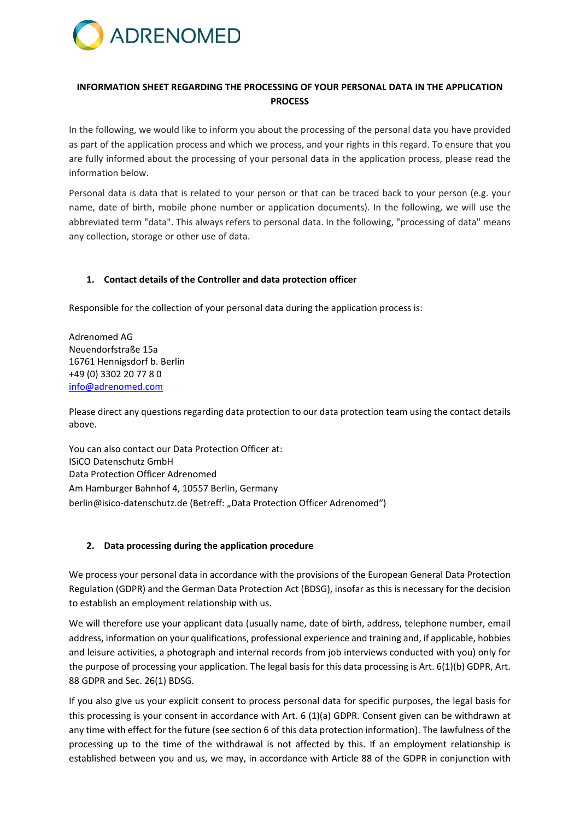

# **INFORMATION SHEET REGARDING THE PROCESSING OF YOUR PERSONAL DATA IN THE APPLICATION PROCESS**

In the following, we would like to inform you about the processing of the personal data you have provided as part of the application process and which we process, and your rights in this regard. To ensure that you are fully informed about the processing of your personal data in the application process, please read the information below.

Personal data is data that is related to your person or that can be traced back to your person (e.g. your name, date of birth, mobile phone number or application documents). In the following, we will use the abbreviated term "data". This always refers to personal data. In the following, "processing of data" means any collection, storage or other use of data.

## **1. Contact details of the Controller and data protection officer**

Responsible for the collection of your personal data during the application process is:

Adrenomed AG Neuendorfstraße 15a 16761 Hennigsdorf b. Berlin +49 (0) 3302 20 77 8 0 [info@adrenomed.com](mailto:info@adrenomed.com)

Please direct any questions regarding data protection to our data protection team using the contact details above.

You can also contact our Data Protection Officer at: ISiCO Datenschutz GmbH Data Protection Officer Adrenomed Am Hamburger Bahnhof 4, 10557 Berlin, Germany berlin@isico-datenschutz.de (Betreff: "Data Protection Officer Adrenomed")

## **2. Data processing during the application procedure**

We process your personal data in accordance with the provisions of the European General Data Protection Regulation (GDPR) and the German Data Protection Act (BDSG), insofar as this is necessary for the decision to establish an employment relationship with us.

We will therefore use your applicant data (usually name, date of birth, address, telephone number, email address, information on your qualifications, professional experience and training and, if applicable, hobbies and leisure activities, a photograph and internal records from job interviews conducted with you) only for the purpose of processing your application. The legal basis for this data processing is Art. 6(1)(b) GDPR, Art. 88 GDPR and Sec. 26(1) BDSG.

If you also give us your explicit consent to process personal data for specific purposes, the legal basis for this processing is your consent in accordance with Art. 6 (1)(a) GDPR. Consent given can be withdrawn at any time with effect for the future (see section 6 of this data protection information). The lawfulness of the processing up to the time of the withdrawal is not affected by this. If an employment relationship is established between you and us, we may, in accordance with Article 88 of the GDPR in conjunction with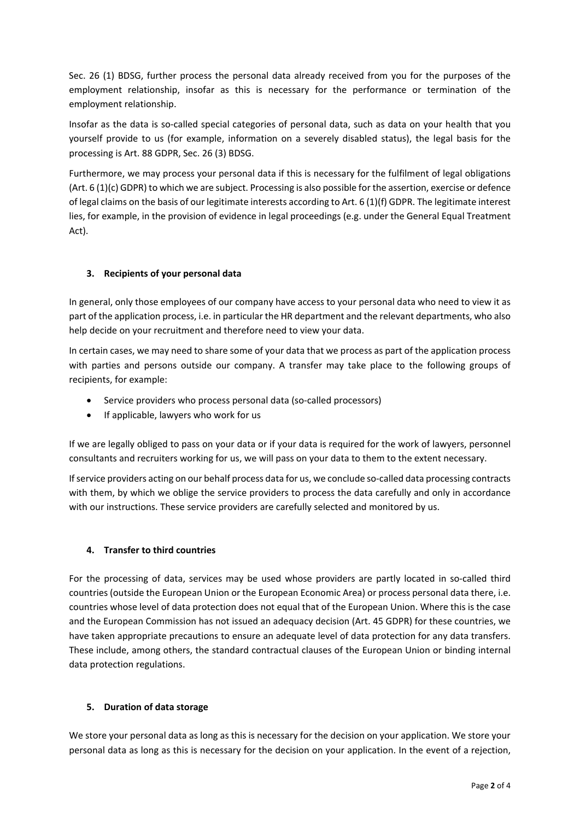Sec. 26 (1) BDSG, further process the personal data already received from you for the purposes of the employment relationship, insofar as this is necessary for the performance or termination of the employment relationship.

Insofar as the data is so-called special categories of personal data, such as data on your health that you yourself provide to us (for example, information on a severely disabled status), the legal basis for the processing is Art. 88 GDPR, Sec. 26 (3) BDSG.

Furthermore, we may process your personal data if this is necessary for the fulfilment of legal obligations (Art. 6 (1)(c) GDPR) to which we are subject. Processing is also possible for the assertion, exercise or defence of legal claims on the basis of our legitimate interests according to Art. 6 (1)(f) GDPR. The legitimate interest lies, for example, in the provision of evidence in legal proceedings (e.g. under the General Equal Treatment Act).

# **3. Recipients of your personal data**

In general, only those employees of our company have access to your personal data who need to view it as part of the application process, i.e. in particular the HR department and the relevant departments, who also help decide on your recruitment and therefore need to view your data.

In certain cases, we may need to share some of your data that we process as part of the application process with parties and persons outside our company. A transfer may take place to the following groups of recipients, for example:

- Service providers who process personal data (so-called processors)
- If applicable, lawyers who work for us

If we are legally obliged to pass on your data or if your data is required for the work of lawyers, personnel consultants and recruiters working for us, we will pass on your data to them to the extent necessary.

If service providers acting on our behalf process data for us, we conclude so-called data processing contracts with them, by which we oblige the service providers to process the data carefully and only in accordance with our instructions. These service providers are carefully selected and monitored by us.

## **4. Transfer to third countries**

For the processing of data, services may be used whose providers are partly located in so-called third countries (outside the European Union or the European Economic Area) or process personal data there, i.e. countries whose level of data protection does not equal that of the European Union. Where this is the case and the European Commission has not issued an adequacy decision (Art. 45 GDPR) for these countries, we have taken appropriate precautions to ensure an adequate level of data protection for any data transfers. These include, among others, the standard contractual clauses of the European Union or binding internal data protection regulations.

## **5. Duration of data storage**

We store your personal data as long as this is necessary for the decision on your application. We store your personal data as long as this is necessary for the decision on your application. In the event of a rejection,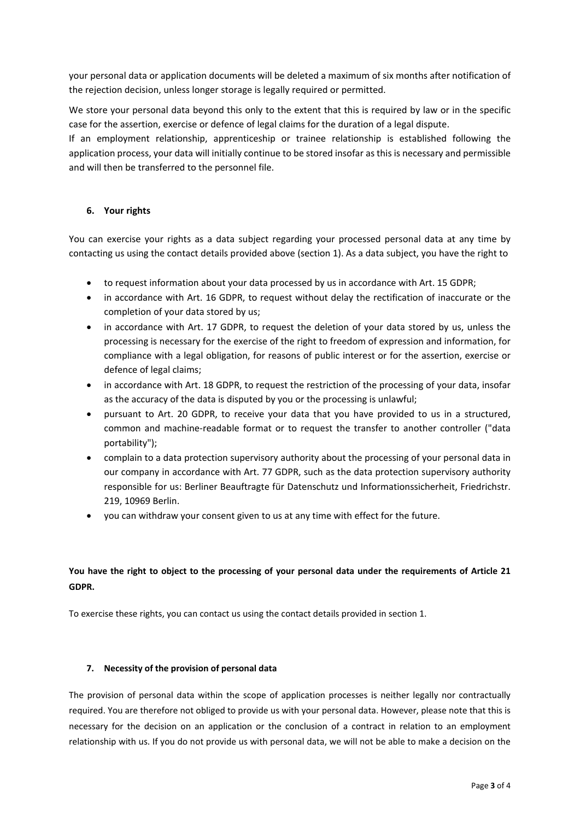your personal data or application documents will be deleted a maximum of six months after notification of the rejection decision, unless longer storage is legally required or permitted.

We store your personal data beyond this only to the extent that this is required by law or in the specific case for the assertion, exercise or defence of legal claims for the duration of a legal dispute.

If an employment relationship, apprenticeship or trainee relationship is established following the application process, your data will initially continue to be stored insofar as this is necessary and permissible and will then be transferred to the personnel file.

## **6. Your rights**

You can exercise your rights as a data subject regarding your processed personal data at any time by contacting us using the contact details provided above (section 1). As a data subject, you have the right to

- to request information about your data processed by us in accordance with Art. 15 GDPR;
- in accordance with Art. 16 GDPR, to request without delay the rectification of inaccurate or the completion of your data stored by us;
- in accordance with Art. 17 GDPR, to request the deletion of your data stored by us, unless the processing is necessary for the exercise of the right to freedom of expression and information, for compliance with a legal obligation, for reasons of public interest or for the assertion, exercise or defence of legal claims;
- in accordance with Art. 18 GDPR, to request the restriction of the processing of your data, insofar as the accuracy of the data is disputed by you or the processing is unlawful;
- pursuant to Art. 20 GDPR, to receive your data that you have provided to us in a structured, common and machine-readable format or to request the transfer to another controller ("data portability");
- complain to a data protection supervisory authority about the processing of your personal data in our company in accordance with Art. 77 GDPR, such as the data protection supervisory authority responsible for us: Berliner Beauftragte für Datenschutz und Informationssicherheit, Friedrichstr. 219, 10969 Berlin.
- you can withdraw your consent given to us at any time with effect for the future.

# **You have the right to object to the processing of your personal data under the requirements of Article 21 GDPR.**

To exercise these rights, you can contact us using the contact details provided in section 1.

## **7. Necessity of the provision of personal data**

The provision of personal data within the scope of application processes is neither legally nor contractually required. You are therefore not obliged to provide us with your personal data. However, please note that this is necessary for the decision on an application or the conclusion of a contract in relation to an employment relationship with us. If you do not provide us with personal data, we will not be able to make a decision on the